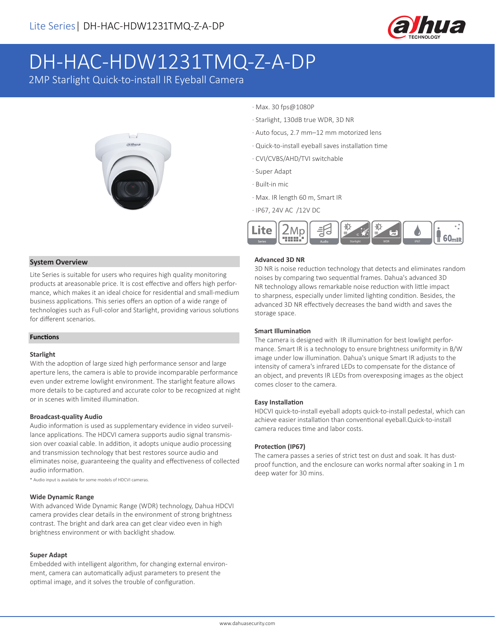

# DH-HAC-HDW1231TMQ-Z-A-DP

2MP Starlight Quick-to-install IR Eyeball Camera



- · Max. 30 fps@1080P
- · Starlight, 130dB true WDR, 3D NR
- · Auto focus, 2.7 mm–12 mm motorized lens
- · Quick-to-install eyeball saves installation time
- · CVI/CVBS/AHD/TVI switchable
- · Super Adapt
- · Built-in mic
- · Max. IR length 60 m, Smart IR
- · IP67, 24V AC /12V DC



#### **System Overview**

Lite Series is suitable for users who requires high quality monitoring products at areasonable price. It is cost effective and offers high performance, which makes it an ideal choice for residential and small-medium business applications. This series offers an option of a wide range of technologies such as Full-color and Starlight, providing various solutions for different scenarios.

#### **Functions**

#### **Starlight**

With the adoption of large sized high performance sensor and large aperture lens, the camera is able to provide incomparable performance even under extreme lowlight environment. The starlight feature allows more details to be captured and accurate color to be recognized at night or in scenes with limited illumination.

#### **Broadcast-quality Audio**

Audio information is used as supplementary evidence in video surveillance applications. The HDCVI camera supports audio signal transmission over coaxial cable. In addition, it adopts unique audio processing and transmission technology that best restores source audio and eliminates noise, guaranteeing the quality and effectiveness of collected audio information.

\* Audio input is available for some models of HDCVI cameras.

#### **Wide Dynamic Range**

With advanced Wide Dynamic Range (WDR) technology, Dahua HDCVI camera provides clear details in the environment of strong brightness contrast. The bright and dark area can get clear video even in high brightness environment or with backlight shadow.

#### **Super Adapt**

Embedded with intelligent algorithm, for changing external environment, camera can automatically adjust parameters to present the optimal image, and it solves the trouble of configuration.

#### **Advanced 3D NR**

3D NR is noise reduction technology that detects and eliminates random noises by comparing two sequential frames. Dahua's advanced 3D NR technology allows remarkable noise reduction with little impact to sharpness, especially under limited lighting condition. Besides, the advanced 3D NR effectively decreases the band width and saves the storage space.

#### **Smart Illumination**

The camera is designed with IR illumination for best lowlight performance. Smart IR is a technology to ensure brightness uniformity in B/W image under low illumination. Dahua's unique Smart IR adjusts to the intensity of camera's infrared LEDs to compensate for the distance of an object, and prevents IR LEDs from overexposing images as the object comes closer to the camera.

#### **Easy Installation**

HDCVI quick-to-install eyeball adopts quick-to-install pedestal, which can achieve easier installation than conventional eyeball.Quick-to-install camera reduces time and labor costs.

#### **Protection (IP67)**

The camera passes a series of strict test on dust and soak. It has dustproof function, and the enclosure can works normal after soaking in 1 m deep water for 30 mins.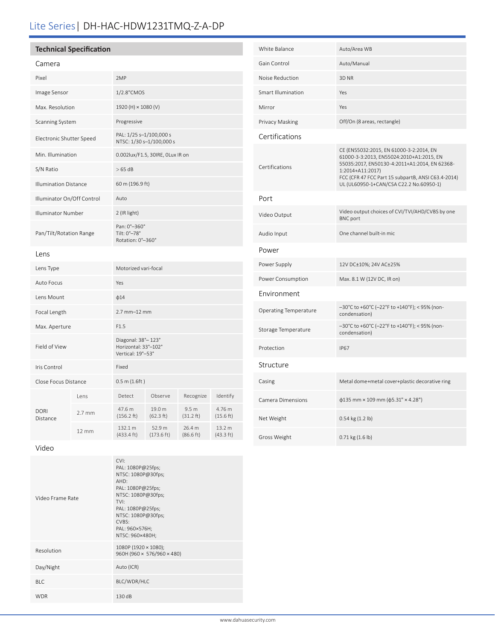## Lite Series| DH-HAC-HDW1231TMQ-Z-A-DP

### **Technical Specification**

#### Camera

| Pixel                        |                  | 2MP                                                             |                                |                               |                               |
|------------------------------|------------------|-----------------------------------------------------------------|--------------------------------|-------------------------------|-------------------------------|
| Image Sensor                 |                  | 1/2.8"CMOS                                                      |                                |                               |                               |
| Max. Resolution              |                  | 1920 (H) × 1080 (V)                                             |                                |                               |                               |
| Scanning System              |                  | Progressive                                                     |                                |                               |                               |
| Electronic Shutter Speed     |                  | PAL: 1/25 s-1/100,000 s<br>NTSC: 1/30 s-1/100,000 s             |                                |                               |                               |
| Min. Illumination            |                  | 0.002lux/F1.5, 30IRE, OLux IR on                                |                                |                               |                               |
| S/N Ratio                    |                  | $>65$ dB                                                        |                                |                               |                               |
| <b>Illumination Distance</b> |                  | 60 m (196.9 ft)                                                 |                                |                               |                               |
| Illuminator On/Off Control   |                  | Auto                                                            |                                |                               |                               |
| <b>Illuminator Number</b>    |                  | 2 (IR light)                                                    |                                |                               |                               |
| Pan/Tilt/Rotation Range      |                  | Pan: 0°-360°<br>Tilt: 0°-78°<br>Rotation: 0°-360°               |                                |                               |                               |
| Lens                         |                  |                                                                 |                                |                               |                               |
| Lens Type                    |                  | Motorized vari-focal                                            |                                |                               |                               |
| Auto Focus                   |                  | Yes                                                             |                                |                               |                               |
| Lens Mount                   |                  | $\phi$ 14                                                       |                                |                               |                               |
| Focal Length                 |                  | $2.7$ mm $-12$ mm                                               |                                |                               |                               |
| Max. Aperture                |                  | F1.5                                                            |                                |                               |                               |
| Field of View                |                  | Diagonal: 38°-123°<br>Horizontal: 33°-102°<br>Vertical: 19°-53° |                                |                               |                               |
| Iris Control                 |                  | Fixed                                                           |                                |                               |                               |
| Close Focus Distance         |                  | 0.5 m(1.6ft)                                                    |                                |                               |                               |
|                              | Lens             | Detect                                                          | Observe                        | Recognize                     | Identify                      |
| <b>DORI</b><br>Distance      | $2.7 \text{ mm}$ | 47.6 m<br>(156.2 ft)                                            | 19.0 m<br>(62.3 ft)            | 9.5 <sub>m</sub><br>(31.2 ft) | 4.76 m<br>(15.6 ft)           |
|                              | $12 \text{ mm}$  | 132.1 m<br>$(433.4 \text{ ft})$                                 | 52.9 m<br>$(173.6 \text{ ft})$ | 26.4 m<br>(86.6 ft)           | 13.2 m<br>$(43.3 \text{ ft})$ |
|                              |                  |                                                                 |                                |                               |                               |

| White Balance                | Auto/Area WB                                                                                                                                                                                                                                              |
|------------------------------|-----------------------------------------------------------------------------------------------------------------------------------------------------------------------------------------------------------------------------------------------------------|
| Gain Control                 | Auto/Manual                                                                                                                                                                                                                                               |
| Noise Reduction              | 3D <sub>NR</sub>                                                                                                                                                                                                                                          |
| Smart Illumination           | Yes                                                                                                                                                                                                                                                       |
| Mirror                       | Yes                                                                                                                                                                                                                                                       |
| Privacy Masking              | Off/On (8 areas, rectangle)                                                                                                                                                                                                                               |
| Certifications               |                                                                                                                                                                                                                                                           |
| Certifications               | CE (EN55032:2015, EN 61000-3-2:2014, EN<br>61000-3-3:2013, EN55024:2010+A1:2015, EN<br>55035:2017, EN50130-4:2011+A1:2014, EN 62368-<br>1:2014+A11:2017)<br>FCC (CFR 47 FCC Part 15 subpartB, ANSI C63.4-2014)<br>UL (UL60950-1+CAN/CSA C22.2 No.60950-1) |
| Port                         |                                                                                                                                                                                                                                                           |
| Video Output                 | Video output choices of CVI/TVI/AHD/CVBS by one<br><b>BNC</b> port                                                                                                                                                                                        |
| Audio Input                  | One channel built-in mic.                                                                                                                                                                                                                                 |
| Power                        |                                                                                                                                                                                                                                                           |
| Power Supply                 | 12V DC±10%; 24V AC±25%                                                                                                                                                                                                                                    |
| Power Consumption            | Max. 8.1 W (12V DC, IR on)                                                                                                                                                                                                                                |
| Environment                  |                                                                                                                                                                                                                                                           |
| <b>Operating Temperature</b> | -30°C to +60°C (-22°F to +140°F); < 95% (non-<br>condensation)                                                                                                                                                                                            |
| Storage Temperature          | -30°C to +60°C (-22°F to +140°F); < 95% (non-<br>condensation)                                                                                                                                                                                            |
| Protection                   | <b>IP67</b>                                                                                                                                                                                                                                               |
| Structure                    |                                                                                                                                                                                                                                                           |
| Casing                       | Metal dome+metal cover+plastic decorative ring                                                                                                                                                                                                            |
| Camera Dimensions            | $\phi$ 135 mm × 109 mm ( $\phi$ 5.31" × 4.28")                                                                                                                                                                                                            |
| Net Weight                   | 0.54 kg (1.2 lb)                                                                                                                                                                                                                                          |
| Gross Weight                 | 0.71 kg (1.6 lb)                                                                                                                                                                                                                                          |

Video

| Video Frame Rate | CVI:<br>PAL: 1080P@25fps;<br>NTSC: 1080P@30fps;<br>AHD:<br>PAL: 1080P@25fps;<br>NTSC: 1080P@30fps;<br>TVI:<br>PAL: 1080P@25fps;<br>NTSC: 1080P@30fps;<br>CVBS:<br>PAL: 960×576H;<br>NTSC: 960×480H; |
|------------------|-----------------------------------------------------------------------------------------------------------------------------------------------------------------------------------------------------|
| Resolution       | 1080P (1920 $\times$ 1080);<br>960H (960 × 576/960 × 480)                                                                                                                                           |
| Day/Night        | Auto (ICR)                                                                                                                                                                                          |
| BIC.             | BLC/WDR/HLC                                                                                                                                                                                         |
| <b>WDR</b>       | 130dB                                                                                                                                                                                               |